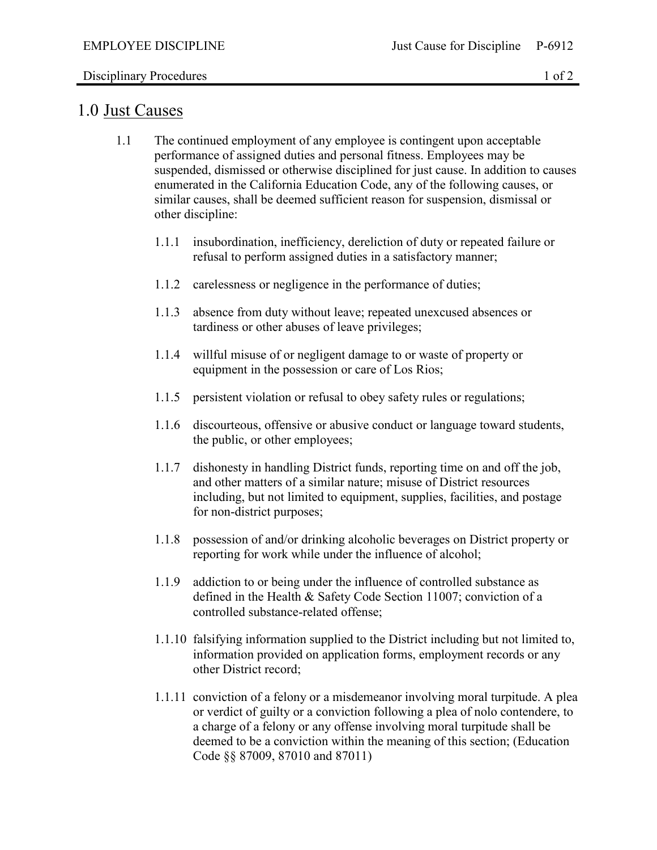## Disciplinary Procedures 1 of 2

## 1.0 Just Causes

- 1.1 The continued employment of any employee is contingent upon acceptable performance of assigned duties and personal fitness. Employees may be suspended, dismissed or otherwise disciplined for just cause. In addition to causes enumerated in the California Education Code, any of the following causes, or similar causes, shall be deemed sufficient reason for suspension, dismissal or other discipline:
	- 1.1.1 insubordination, inefficiency, dereliction of duty or repeated failure or refusal to perform assigned duties in a satisfactory manner;
	- 1.1.2 carelessness or negligence in the performance of duties;
	- 1.1.3 absence from duty without leave; repeated unexcused absences or tardiness or other abuses of leave privileges;
	- 1.1.4 willful misuse of or negligent damage to or waste of property or equipment in the possession or care of Los Rios;
	- 1.1.5 persistent violation or refusal to obey safety rules or regulations;
	- 1.1.6 discourteous, offensive or abusive conduct or language toward students, the public, or other employees;
	- 1.1.7 dishonesty in handling District funds, reporting time on and off the job, and other matters of a similar nature; misuse of District resources including, but not limited to equipment, supplies, facilities, and postage for non-district purposes;
	- 1.1.8 possession of and/or drinking alcoholic beverages on District property or reporting for work while under the influence of alcohol;
	- 1.1.9 addiction to or being under the influence of controlled substance as defined in the Health & Safety Code Section 11007; conviction of a controlled substance-related offense;
	- 1.1.10 falsifying information supplied to the District including but not limited to, information provided on application forms, employment records or any other District record;
	- 1.1.11 conviction of a felony or a misdemeanor involving moral turpitude. A plea or verdict of guilty or a conviction following a plea of nolo contendere, to a charge of a felony or any offense involving moral turpitude shall be deemed to be a conviction within the meaning of this section; (Education Code §§ 87009, 87010 and 87011)